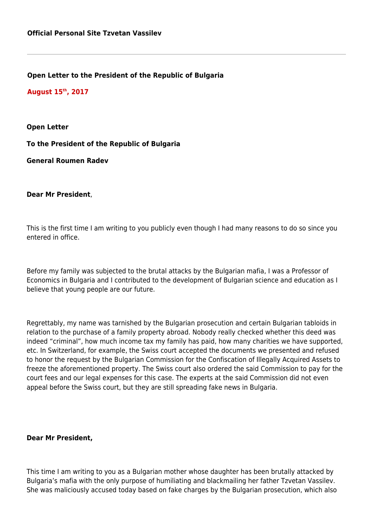**Open Letter to the President of the Republic of Bulgaria**

**August 15th, 2017**

**Open Letter**

**To the President of the Republic of Bulgaria**

**General Roumen Radev**

**Dear Mr President**,

This is the first time I am writing to you publicly even though I had many reasons to do so since you entered in office.

Before my family was subjected to the brutal attacks by the Bulgarian mafia, I was a Professor of Economics in Bulgaria and I contributed to the development of Bulgarian science and education as I believe that young people are our future.

Regrettably, my name was tarnished by the Bulgarian prosecution and certain Bulgarian tabloids in relation to the purchase of a family property abroad. Nobody really checked whether this deed was indeed "criminal", how much income tax my family has paid, how many charities we have supported, etc. In Switzerland, for example, the Swiss court accepted the documents we presented and refused to honor the request by the Bulgarian Commission for the Confiscation of Illegally Acquired Assets to freeze the aforementioned property. The Swiss court also ordered the said Commission to pay for the court fees and our legal expenses for this case. The experts at the said Commission did not even appeal before the Swiss court, but they are still spreading fake news in Bulgaria.

**Dear Mr President,**

This time I am writing to you as a Bulgarian mother whose daughter has been brutally attacked by Bulgaria's mafia with the only purpose of humiliating and blackmailing her father Tzvetan Vassilev. She was maliciously accused today based on fake charges by the Bulgarian prosecution, which also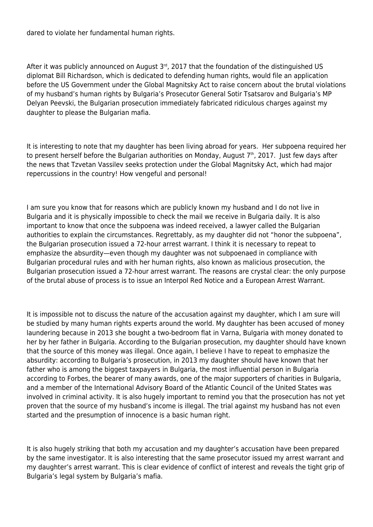dared to violate her fundamental human rights.

After it was publicly announced on August  $3<sup>rd</sup>$ , 2017 that the foundation of the distinguished US diplomat Bill Richardson, which is dedicated to defending human rights, would file an application before the US Government under the Global Magnitsky Act to raise concern about the brutal violations of my husband's human rights by Bulgaria's Prosecutor General Sotir Tsatsarov and Bulgaria's MP Delyan Peevski, the Bulgarian prosecution immediately fabricated ridiculous charges against my daughter to please the Bulgarian mafia.

It is interesting to note that my daughter has been living abroad for years. Her subpoena required her to present herself before the Bulgarian authorities on Monday, August  $7<sup>th</sup>$ , 2017. Just few days after the news that Tzvetan Vassilev seeks protection under the Global Magnitsky Act, which had major repercussions in the country! How vengeful and personal!

I am sure you know that for reasons which are publicly known my husband and I do not live in Bulgaria and it is physically impossible to check the mail we receive in Bulgaria daily. It is also important to know that once the subpoena was indeed received, a lawyer called the Bulgarian authorities to explain the circumstances. Regrettably, as my daughter did not "honor the subpoena", the Bulgarian prosecution issued a 72-hour arrest warrant. I think it is necessary to repeat to emphasize the absurdity—even though my daughter was not subpoenaed in compliance with Bulgarian procedural rules and with her human rights, also known as malicious prosecution, the Bulgarian prosecution issued a 72-hour arrest warrant. The reasons are crystal clear: the only purpose of the brutal abuse of process is to issue an Interpol Red Notice and a European Arrest Warrant.

It is impossible not to discuss the nature of the accusation against my daughter, which I am sure will be studied by many human rights experts around the world. My daughter has been accused of money laundering because in 2013 she bought a two-bedroom flat in Varna, Bulgaria with money donated to her by her father in Bulgaria. According to the Bulgarian prosecution, my daughter should have known that the source of this money was illegal. Once again, I believe I have to repeat to emphasize the absurdity: according to Bulgaria's prosecution, in 2013 my daughter should have known that her father who is among the biggest taxpayers in Bulgaria, the most influential person in Bulgaria according to Forbes, the bearer of many awards, one of the major supporters of charities in Bulgaria, and a member of the International Advisory Board of the Atlantic Council of the United States was involved in criminal activity. It is also hugely important to remind you that the prosecution has not yet proven that the source of my husband's income is illegal. The trial against my husband has not even started and the presumption of innocence is a basic human right.

It is also hugely striking that both my accusation and my daughter's accusation have been prepared by the same investigator. It is also interesting that the same prosecutor issued my arrest warrant and my daughter's arrest warrant. This is clear evidence of conflict of interest and reveals the tight grip of Bulgaria's legal system by Bulgaria's mafia.